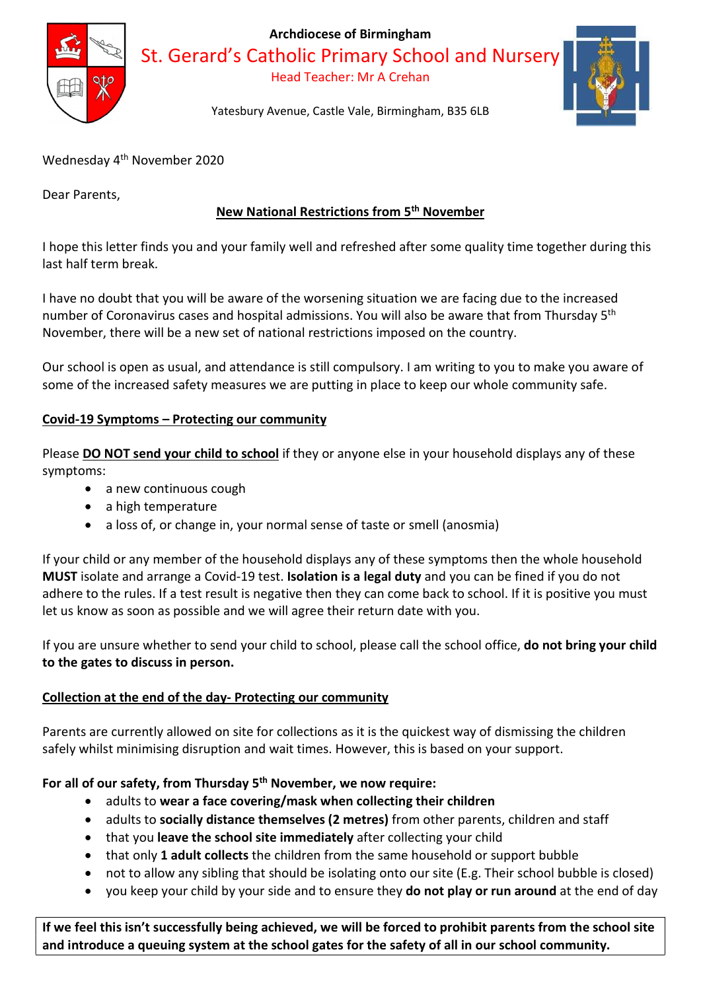

Archdiocese of Birmingham

St. Gerard's Catholic Primary School and Nursery

Head Teacher: Mr A Crehan



Yatesbury Avenue, Castle Vale, Birmingham, B35 6LB

Wednesday 4<sup>th</sup> November 2020

Dear Parents,

# New National Restrictions from 5th November

I hope this letter finds you and your family well and refreshed after some quality time together during this last half term break.

I have no doubt that you will be aware of the worsening situation we are facing due to the increased number of Coronavirus cases and hospital admissions. You will also be aware that from Thursday 5th November, there will be a new set of national restrictions imposed on the country.

Our school is open as usual, and attendance is still compulsory. I am writing to you to make you aware of some of the increased safety measures we are putting in place to keep our whole community safe.

## Covid-19 Symptoms – Protecting our community

Please DO NOT send your child to school if they or anyone else in your household displays any of these symptoms:

- a new continuous cough
- a high temperature
- a loss of, or change in, your normal sense of taste or smell (anosmia)

If your child or any member of the household displays any of these symptoms then the whole household MUST isolate and arrange a Covid-19 test. Isolation is a legal duty and you can be fined if you do not adhere to the rules. If a test result is negative then they can come back to school. If it is positive you must let us know as soon as possible and we will agree their return date with you.

If you are unsure whether to send your child to school, please call the school office, do not bring your child to the gates to discuss in person.

## Collection at the end of the day- Protecting our community

Parents are currently allowed on site for collections as it is the quickest way of dismissing the children safely whilst minimising disruption and wait times. However, this is based on your support.

## For all of our safety, from Thursday  $5<sup>th</sup>$  November, we now require:

- adults to wear a face covering/mask when collecting their children
- adults to socially distance themselves (2 metres) from other parents, children and staff
- that you leave the school site immediately after collecting your child
- that only 1 adult collects the children from the same household or support bubble
- not to allow any sibling that should be isolating onto our site (E.g. Their school bubble is closed)
- you keep your child by your side and to ensure they **do not play or run around** at the end of day

If we feel this isn't successfully being achieved, we will be forced to prohibit parents from the school site and introduce a queuing system at the school gates for the safety of all in our school community.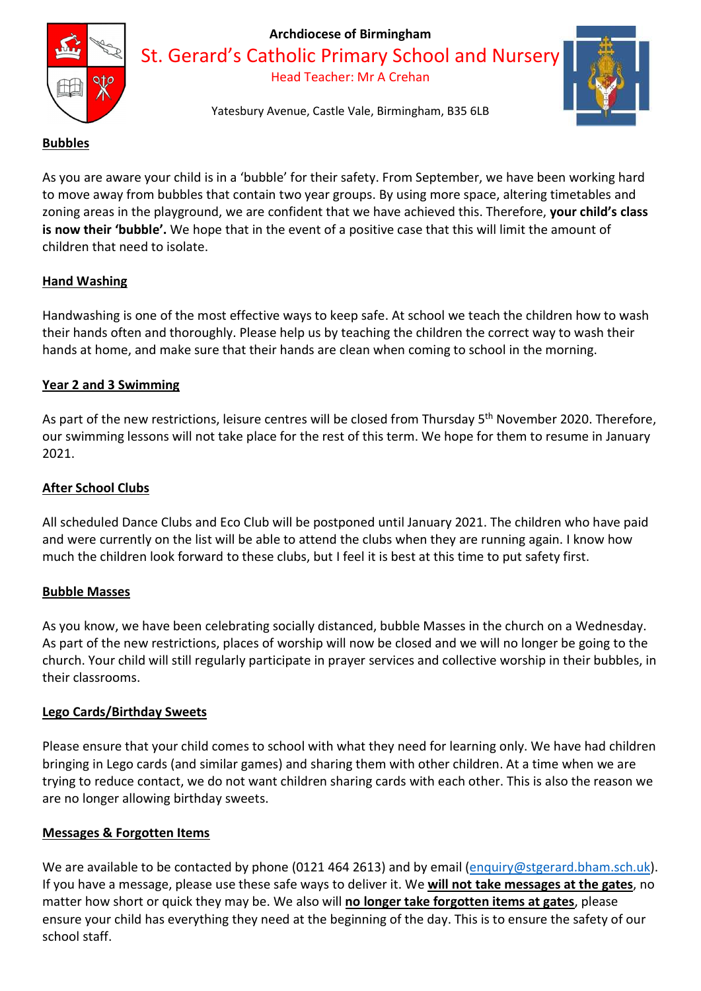

### Archdiocese of Birmingham

St. Gerard's Catholic Primary School and Nursery

Head Teacher: Mr A Crehan



Yatesbury Avenue, Castle Vale, Birmingham, B35 6LB

### Bubbles

As you are aware your child is in a 'bubble' for their safety. From September, we have been working hard to move away from bubbles that contain two year groups. By using more space, altering timetables and zoning areas in the playground, we are confident that we have achieved this. Therefore, your child's class is now their 'bubble'. We hope that in the event of a positive case that this will limit the amount of children that need to isolate.

### Hand Washing

Handwashing is one of the most effective ways to keep safe. At school we teach the children how to wash their hands often and thoroughly. Please help us by teaching the children the correct way to wash their hands at home, and make sure that their hands are clean when coming to school in the morning.

## Year 2 and 3 Swimming

As part of the new restrictions, leisure centres will be closed from Thursday 5<sup>th</sup> November 2020. Therefore, our swimming lessons will not take place for the rest of this term. We hope for them to resume in January 2021.

## After School Clubs

All scheduled Dance Clubs and Eco Club will be postponed until January 2021. The children who have paid and were currently on the list will be able to attend the clubs when they are running again. I know how much the children look forward to these clubs, but I feel it is best at this time to put safety first.

### Bubble Masses

As you know, we have been celebrating socially distanced, bubble Masses in the church on a Wednesday. As part of the new restrictions, places of worship will now be closed and we will no longer be going to the church. Your child will still regularly participate in prayer services and collective worship in their bubbles, in their classrooms.

### Lego Cards/Birthday Sweets

Please ensure that your child comes to school with what they need for learning only. We have had children bringing in Lego cards (and similar games) and sharing them with other children. At a time when we are trying to reduce contact, we do not want children sharing cards with each other. This is also the reason we are no longer allowing birthday sweets.

## Messages & Forgotten Items

We are available to be contacted by phone (0121 464 2613) and by email (enquiry@stgerard.bham.sch.uk). If you have a message, please use these safe ways to deliver it. We will not take messages at the gates, no matter how short or quick they may be. We also will no longer take forgotten items at gates, please ensure your child has everything they need at the beginning of the day. This is to ensure the safety of our school staff.